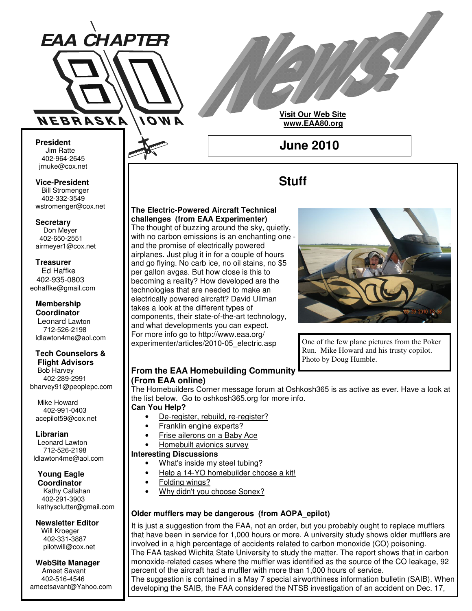

**Visit Our Web Site www.EAA80.org**

**June 2010**

**Stuff**

**President** Jim Ratte 402-964-2645 jrnuke@cox.net Jim Ratte<br>402-964-2645<br>rnuke@cox.net<br>**ice-President**<br>Bill Stromenger

**Vice-President Bill Stromenger** 402-332-3549 jrnuke@cox.net 402-332-3549wstromenger@cox.net

**Secretary** Don Meyer Don Meyer 402-650-2551 airmeyer1@cox.net

#### **Treasurer** Ed Haffke Ed Haffke 402-935-0803 eohaffke@gmail.com

**Membership Coordinator** Leonard Lawton 402-895-0125 712-526-2198

## **Tech Counselors & Tech Counselors & Flight Advisors Flight Advisors**

ldlawton4me@aol.com

Bob Harvey Bob Harvey 402-289-2991 402-289-2991 bharvey91@peoplepc.com bharvey91@peoplepc.com

Mike Howard Mike Howard 402-991-0403 402-991-0403 acepilot59@cox.net acepilot59@cox.net

# **Librarian Librarian**

Leonard Lawton Leonard Lawton 712-526-2198 712-526-2198 ldlawton4me@aol.com ldlawton4me@aol.com

## **Young Eagle Young Eagle Coordinator Coordinator**

Kathy Callahan 402-291-3903 kathysclutter@gmail.com

# **Newsletter Editor Newsletter Editor**

Will Kroeger Will Kroeger 402-331-3887 402-331-3887 pilotwill@cox.net pilotwill@cox.net

#### **WebSite Manager WebSite Manager** Ameet Savant Ameet Savant 402-516-4546 402-516-4546 ameetsavant@Yahoo.com ameetsavant@Yahoo.com

# **The Electric-Powered Aircraft Technical challenges (from EAA Experimenter)**

The thought of buzzing around the sky, quietly, with no carbon emissions is an enchanting one and the promise of electrically powered airplanes. Just plug it in for a couple of hours and go flying. No carb ice, no oil stains, no \$5 per gallon avgas. But how close is this to becoming a reality? How developed are the technologies that are needed to make an electrically powered aircraft? David Ullman takes a look at the different types of components, their state-of-the-art technology, and what developments you can expect. For more info go to http://www.eaa.org/ experimenter/articles/2010-05\_electric.asp



One of the few plane pictures from the Poker Run. Mike Howard and his trusty copilot. Photo by Doug Humble.

# **From the EAA Homebuilding Community (From EAA online)**

The Homebuilders Corner message forum at Oshkosh365 is as active as ever. Have a look at the list below. Go to oshkosh365.org for more info.

## **Can You Help?**

- De-register, rebuild, re-register?
- Franklin engine experts?
- Frise ailerons on a Baby Ace
- Homebuilt avionics survey

## **Interesting Discussions**

- What's inside my steel tubing?
- Help a 14-YO homebuilder choose a kit!
- Folding wings?
- Why didn't you choose Sonex?

# **Older mufflers may be dangerous (from AOPA\_epilot)**

It is just a suggestion from the FAA, not an order, but you probably ought to replace mufflers that have been in service for 1,000 hours or more. A university study shows older mufflers are involved in a high percentage of accidents related to carbon monoxide (CO) poisoning. The FAA tasked Wichita State University to study the matter. The report shows that in carbon monoxide-related cases where the muffler was identified as the source of the CO leakage, 92 percent of the aircraft had a muffler with more than 1,000 hours of service. The suggestion is contained in a May 7 special airworthiness information bulletin (SAIB). When developing the SAIB, the FAA considered the NTSB investigation of an accident on Dec. 17,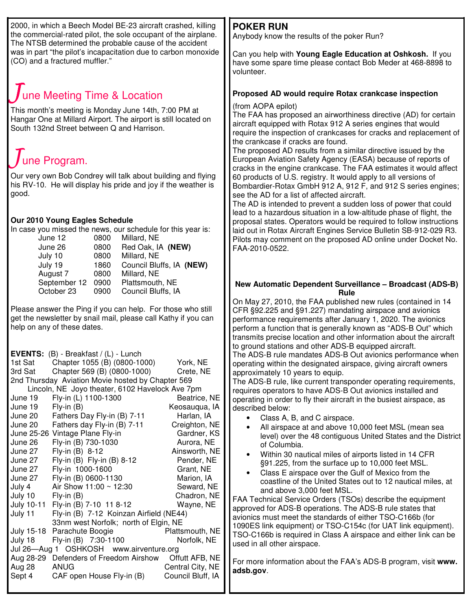2000, in which a Beech Model BE-23 aircraft crashed, killing the commercial-rated pilot, the sole occupant of the airplane. The NTSB determined the probable cause of the accident was in part "the pilot's incapacitation due to carbon monoxide (CO) and a fractured muffler."

# une Meeting Time & Location

This month's meeting is Monday June 14th, 7:00 PM at Hangar One at Millard Airport. The airport is still located on South 132nd Street between Q and Harrison.

# une Program.

Our very own Bob Condrey will talk about building and flying his RV-10. He will display his pride and joy if the weather is good.

# **Our 2010 Young Eagles Schedule**

In case you missed the news, our schedule for this year is:

| June 12      | 0800 | Millard, NE              |
|--------------|------|--------------------------|
| June 26      | 0800 | Red Oak, IA (NEW)        |
| July 10      | 0800 | Millard, NE              |
| July 19      | 1860 | Council Bluffs, IA (NEW) |
| August 7     | 0800 | Millard, NE              |
| September 12 | 0900 | Plattsmouth, NE          |
| October 23   | 0900 | Council Bluffs, IA       |
|              |      |                          |

Please answer the Ping if you can help. For those who still get the newsletter by snail mail, please call Kathy if you can help on any of these dates.

|                                                   | <b>EVENTS:</b> $(B)$ - Breakfast / $(L)$ - Lunch |                   |  |  |
|---------------------------------------------------|--------------------------------------------------|-------------------|--|--|
| 1st Sat                                           | Chapter 1055 (B) (0800-1000)                     | York, NE          |  |  |
| 3rd Sat                                           | Chapter 569 (B) (0800-1000)                      | Crete, NE         |  |  |
| 2nd Thursday Aviation Movie hosted by Chapter 569 |                                                  |                   |  |  |
| Lincoln, NE Joyo theater, 6102 Havelock Ave 7pm   |                                                  |                   |  |  |
| June 19                                           | Fly-in (L) 1100-1300                             | Beatrice, NE      |  |  |
| June 19                                           | $Fly-in(B)$                                      | Keosaugua, IA     |  |  |
| June 20                                           | Fathers Day Fly-in (B) 7-11                      | Harlan, IA        |  |  |
| June 20                                           | Fathers day Fly-in (B) 7-11                      | Creighton, NE     |  |  |
|                                                   | June 25-26 Vintage Plane Fly-in                  | Gardner, KS       |  |  |
| June 26                                           | Fly-in (B) 730-1030                              | Aurora, NE        |  |  |
| June 27                                           | Fly-in (B) 8-12                                  | Ainsworth, NE     |  |  |
| June 27                                           | Fly-in (B) Fly-in (B) 8-12                       | Pender, NE        |  |  |
| June 27                                           | Fly-in 1000-1600                                 | Grant, NE         |  |  |
| June 27                                           | Fly-in (B) 0600-1130                             | Marion, IA        |  |  |
| July 4                                            | Air Show 11:00 ~ 12:30                           | Seward, NE        |  |  |
| July 10                                           | $Fly-in(B)$                                      | Chadron, NE       |  |  |
| July 10-11                                        | Fly-in (B) 7-10 11 8-12                          | Wayne, NE         |  |  |
| July 11                                           | Fly-in (B) 7-12 Koinzan Airfield (NE44)          |                   |  |  |
|                                                   | 33nm west Norfolk; north of Elgin, NE            |                   |  |  |
| July 15-18                                        | Parachute Boogie                                 | Plattsmouth, NE   |  |  |
| July 18                                           | Fly-in (B) 7:30-1100                             | Norfolk, NE       |  |  |
| Jul 26—Aug 1 OSHKOSH www.airventure.org           |                                                  |                   |  |  |
| Aug 28-29                                         | Defenders of Freedom Airshow                     | Offutt AFB, NE    |  |  |
| Aug 28                                            | ANUG                                             | Central City, NE  |  |  |
| Sept 4                                            | CAF open House Fly-in (B)                        | Council Bluff, IA |  |  |
|                                                   |                                                  |                   |  |  |

# **POKER RUN**

Anybody know the results of the poker Run?

Can you help with **Young Eagle Education at Oshkosh.** If you have some spare time please contact Bob Meder at 468-8898 to volunteer.

# **Proposed AD would require Rotax crankcase inspection**

(from AOPA epilot)

The FAA has proposed an airworthiness directive (AD) for certain aircraft equipped with Rotax 912 A series engines that would require the inspection of crankcases for cracks and replacement of the crankcase if cracks are found.

The proposed AD results from a similar directive issued by the European Aviation Safety Agency (EASA) because of reports of cracks in the engine crankcase. The FAA estimates it would affect 60 products of U.S. registry. It would apply to all versions of Bombardier-Rotax GmbH 912 A, 912 F, and 912 S series engines; see the AD for a list of affected aircraft.

The AD is intended to prevent a sudden loss of power that could lead to a hazardous situation in a low-altitude phase of flight, the proposal states. Operators would be required to follow instructions laid out in Rotax Aircraft Engines Service Bulletin SB-912-029 R3. Pilots may comment on the proposed AD online under Docket No. FAA-2010-0522.

## **New Automatic Dependent Surveillance – Broadcast (ADS-B) Rule**

On May 27, 2010, the FAA published new rules (contained in 14 CFR §92.225 and §91.227) mandating airspace and avionics performance requirements after January 1, 2020. The avionics perform a function that is generally known as "ADS-B Out" which transmits precise location and other information about the aircraft to ground stations and other ADS-B equipped aircraft.

The ADS-B rule mandates ADS-B Out avionics performance when operating within the designated airspace, giving aircraft owners approximately 10 years to equip.

The ADS-B rule, like current transponder operating requirements, requires operators to have ADS-B Out avionics installed and operating in order to fly their aircraft in the busiest airspace, as described below:

- Class A, B, and C airspace.
- All airspace at and above 10,000 feet MSL (mean sea level) over the 48 contiguous United States and the District of Columbia.
- Within 30 nautical miles of airports listed in 14 CFR §91.225, from the surface up to 10,000 feet MSL.
- Class E airspace over the Gulf of Mexico from the coastline of the United States out to 12 nautical miles, at and above 3,000 feet MSL.

FAA Technical Service Orders (TSOs) describe the equipment approved for ADS-B operations. The ADS-B rule states that avionics must meet the standards of either TSO-C166b (for 1090ES link equipment) or TSO-C154c (for UAT link equipment). TSO-C166b is required in Class A airspace and either link can be used in all other airspace.

For more information about the FAA's ADS-B program, visit **www. adsb.gov**.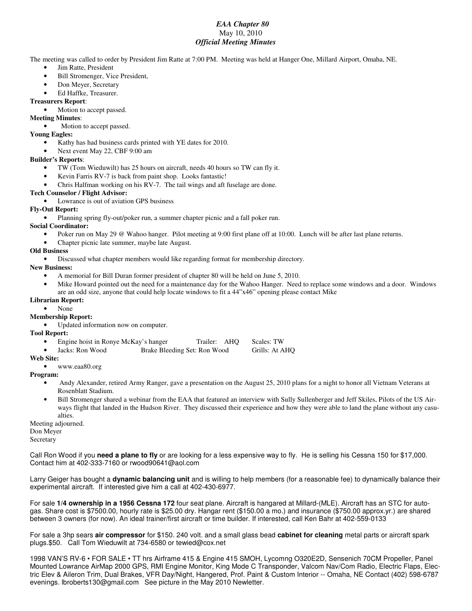#### *EAA Chapter 80* May 10, 2010 *Official Meeting Minutes*

The meeting was called to order by President Jim Ratte at 7:00 PM. Meeting was held at Hanger One, Millard Airport, Omaha, NE.

- Jim Ratte, President
- Bill Stromenger, Vice President,
- Don Meyer, Secretary
- Ed Haffke, Treasurer.

#### **Treasurers Report**:

Motion to accept passed.

### **Meeting Minutes**:

Motion to accept passed.

#### **Young Eagles:**

- Kathy has had business cards printed with YE dates for 2010.
- Next event May 22, CBF 9:00 am

#### **Builder's Reports**:

- TW (Tom Wieduwilt) has 25 hours on aircraft, needs 40 hours so TW can fly it.
- Kevin Farris RV-7 is back from paint shop. Looks fantastic!
- Chris Halfman working on his RV-7. The tail wings and aft fuselage are done.

#### **Tech Counselor / Flight Advisor:**

• Lowrance is out of aviation GPS business

#### **Fly-Out Report:**

• Planning spring fly-out/poker run, a summer chapter picnic and a fall poker run.

#### **Social Coordinator:**

- Poker run on May 29 @ Wahoo hanger. Pilot meeting at 9:00 first plane off at 10:00. Lunch will be after last plane returns.
- Chapter picnic late summer, maybe late August.

#### **Old Business**

• Discussed what chapter members would like regarding format for membership directory.

#### **New Business:**

- A memorial for Bill Duran former president of chapter 80 will be held on June 5, 2010.
- Mike Howard pointed out the need for a maintenance day for the Wahoo Hanger. Need to replace some windows and a door. Windows are an odd size, anyone that could help locate windows to fit a 44"x46" opening please contact Mike

#### **Librarian Report:**

• None

#### **Membership Report:**

• Updated information now on computer.

#### **Tool Report:**

- Engine hoist in Ronye McKay's hanger Trailer: AHQ Scales: TW
- Jacks: Ron Wood Brake Bleeding Set: Ron Wood Grills: At AHQ

## **Web Site:**

• www.eaa80.org

#### **Program:**

- Andy Alexander, retired Army Ranger, gave a presentation on the August 25, 2010 plans for a night to honor all Vietnam Veterans at Rosenblatt Stadium.
- Bill Stromenger shared a webinar from the EAA that featured an interview with Sully Sullenberger and Jeff Skiles, Pilots of the US Airways flight that landed in the Hudson River. They discussed their experience and how they were able to land the plane without any casualties.

Meeting adjourned. Don Meyer

Secretary

Call Ron Wood if you **need a plane to fly** or are looking for a less expensive way to fly. He is selling his Cessna 150 for \$17,000. Contact him at 402-333-7160 or rwood90641@aol.com

Larry Geiger has bought a **dynamic balancing unit** and is willing to help members (for a reasonable fee) to dynamically balance their experimental aircraft. If interested give him a call at 402-430-6977.

For sale **1/4 ownership in a 1956 Cessna 172** four seat plane. Aircraft is hangared at Millard-(MLE). Aircraft has an STC for autogas. Share cost is \$7500.00, hourly rate is \$25.00 dry. Hangar rent (\$150.00 a mo.) and insurance (\$750.00 approx.yr.) are shared between 3 owners (for now). An ideal trainer/first aircraft or time builder. If interested, call Ken Bahr at 402-559-0133

For sale a 3hp sears **air compressor** for \$150. 240 volt. and a small glass bead **cabinet for cleaning** metal parts or aircraft spark plugs.\$50. Call Tom Wieduwilt at 734-6580 or tewied@cox.net

1998 VAN'S RV-6 • FOR SALE • TT hrs Airframe 415 & Engine 415 SMOH, Lycomng O320E2D, Sensenich 70CM Propeller, Panel Mounted Lowrance AirMap 2000 GPS, RMI Engine Monitor, King Mode C Transponder, Valcom Nav/Com Radio, Electric Flaps, Electric Elev & Aileron Trim, Dual Brakes, VFR Day/Night, Hangered, Prof. Paint & Custom Interior -- Omaha, NE Contact (402) 598-6787 evenings. lbroberts130@gmail.com See picture in the May 2010 Newletter.